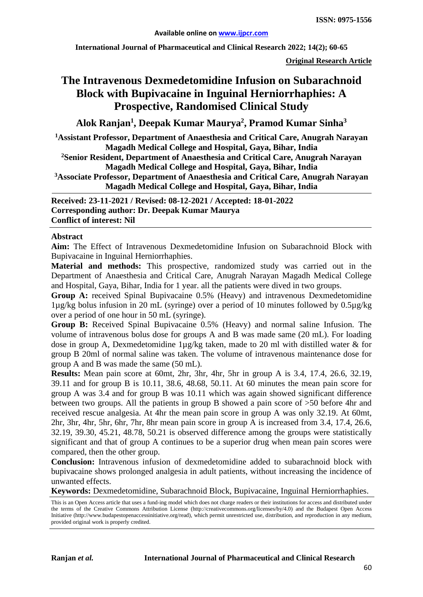**International Journal of Pharmaceutical and Clinical Research 2022; 14(2); 60-65**

**Original Research Article**

# **The Intravenous Dexmedetomidine Infusion on Subarachnoid Block with Bupivacaine in Inguinal Herniorrhaphies: A Prospective, Randomised Clinical Study**

# **Alok Ranjan1 , Deepak Kumar Maurya2 , Pramod Kumar Sinha3**

**1Assistant Professor, Department of Anaesthesia and Critical Care, Anugrah Narayan Magadh Medical College and Hospital, Gaya, Bihar, India**

**2Senior Resident, Department of Anaesthesia and Critical Care, Anugrah Narayan Magadh Medical College and Hospital, Gaya, Bihar, India**

**3Associate Professor, Department of Anaesthesia and Critical Care, Anugrah Narayan Magadh Medical College and Hospital, Gaya, Bihar, India**

**Received: 23-11-2021 / Revised: 08-12-2021 / Accepted: 18-01-2022 Corresponding author: Dr. Deepak Kumar Maurya Conflict of interest: Nil**

#### **Abstract**

**Aim:** The Effect of Intravenous Dexmedetomidine Infusion on Subarachnoid Block with Bupivacaine in Inguinal Herniorrhaphies.

**Material and methods:** This prospective, randomized study was carried out in the Department of Anaesthesia and Critical Care, Anugrah Narayan Magadh Medical College and Hospital, Gaya, Bihar, India for 1 year. all the patients were dived in two groups.

**Group A:** received Spinal Bupivacaine 0.5% (Heavy) and intravenous Dexmedetomidine 1µg/kg bolus infusion in 20 mL (syringe) over a period of 10 minutes followed by 0.5µg/kg over a period of one hour in 50 mL (syringe).

**Group B:** Received Spinal Bupivacaine 0.5% (Heavy) and normal saline Infusion. The volume of intravenous bolus dose for groups A and B was made same (20 mL). For loading dose in group A, Dexmedetomidine 1µg/kg taken, made to 20 ml with distilled water & for group B 20ml of normal saline was taken. The volume of intravenous maintenance dose for group A and B was made the same (50 mL).

**Results:** Mean pain score at 60mt, 2hr, 3hr, 4hr, 5hr in group A is 3.4, 17.4, 26.6, 32.19, 39.11 and for group B is 10.11, 38.6, 48.68, 50.11. At 60 minutes the mean pain score for group A was 3.4 and for group B was 10.11 which was again showed significant difference between two groups. All the patients in group B showed a pain score of >50 before 4hr and received rescue analgesia. At 4hr the mean pain score in group A was only 32.19. At 60mt, 2hr, 3hr, 4hr, 5hr, 6hr, 7hr, 8hr mean pain score in group A is increased from 3.4, 17.4, 26.6, 32.19, 39.30, 45.21, 48.78, 50.21 is observed difference among the groups were statistically significant and that of group A continues to be a superior drug when mean pain scores were compared, then the other group.

**Conclusion:** Intravenous infusion of dexmedetomidine added to subarachnoid block with bupivacaine shows prolonged analgesia in adult patients, without increasing the incidence of unwanted effects.

**Keywords:** Dexmedetomidine, Subarachnoid Block, Bupivacaine, Inguinal Herniorrhaphies.

This is an Open Access article that uses a fund-ing model which does not charge readers or their institutions for access and distributed under the terms of the Creative Commons Attribution License (http://creativecommons.org/licenses/by/4.0) and the Budapest Open Access Initiative (http://www.budapestopenaccessinitiative.org/read), which permit unrestricted use, distribution, and reproduction in any medium, provided original work is properly credited.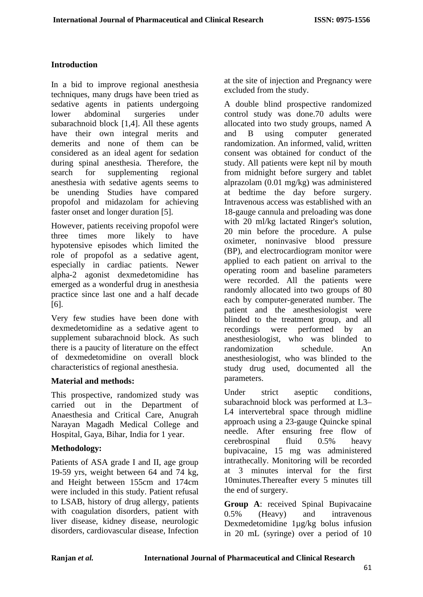## **Introduction**

In a bid to improve regional anesthesia techniques, many drugs have been tried as sedative agents in patients undergoing lower abdominal surgeries under subarachnoid block [1,4]. All these agents have their own integral merits and demerits and none of them can be considered as an ideal agent for sedation during spinal anesthesia. Therefore, the search for supplementing regional anesthesia with sedative agents seems to be unending Studies have compared propofol and midazolam for achieving faster onset and longer duration [5].

However, patients receiving propofol were three times more likely to have hypotensive episodes which limited the role of propofol as a sedative agent, especially in cardiac patients. Newer alpha-2 agonist dexmedetomidine has emerged as a wonderful drug in anesthesia practice since last one and a half decade [6].

Very few studies have been done with dexmedetomidine as a sedative agent to supplement subarachnoid block. As such there is a paucity of literature on the effect of dexmedetomidine on overall block characteristics of regional anesthesia.

#### **Material and methods:**

This prospective, randomized study was carried out in the Department of Anaesthesia and Critical Care, Anugrah Narayan Magadh Medical College and Hospital, Gaya, Bihar, India for 1 year.

#### **Methodology:**

Patients of ASA grade I and II, age group 19-59 yrs, weight between 64 and 74 kg, and Height between 155cm and 174cm were included in this study. Patient refusal to LSAB, history of drug allergy, patients with coagulation disorders, patient with liver disease, kidney disease, neurologic disorders, cardiovascular disease, Infection

at the site of injection and Pregnancy were excluded from the study.

A double blind prospective randomized control study was done.70 adults were allocated into two study groups, named A and B using computer generated randomization. An informed, valid, written consent was obtained for conduct of the study. All patients were kept nil by mouth from midnight before surgery and tablet alprazolam (0.01 mg/kg) was administered at bedtime the day before surgery. Intravenous access was established with an 18-gauge cannula and preloading was done with 20 ml/kg lactated Ringer's solution, 20 min before the procedure. A pulse oximeter, noninvasive blood pressure (BP), and electrocardiogram monitor were applied to each patient on arrival to the operating room and baseline parameters were recorded. All the patients were randomly allocated into two groups of 80 each by computer-generated number. The patient and the anesthesiologist were blinded to the treatment group, and all recordings were performed by an anesthesiologist, who was blinded to randomization schedule. An anesthesiologist, who was blinded to the study drug used, documented all the parameters.

Under strict aseptic conditions, subarachnoid block was performed at L3– L4 intervertebral space through midline approach using a 23-gauge Quincke spinal needle. After ensuring free flow of cerebrospinal fluid 0.5% heavy bupivacaine, 15 mg was administered intrathecally. Monitoring will be recorded at 3 minutes interval for the first 10minutes.Thereafter every 5 minutes till the end of surgery.

**Group A**: received Spinal Bupivacaine 0.5% (Heavy) and intravenous Dexmedetomidine 1µg/kg bolus infusion in 20 mL (syringe) over a period of 10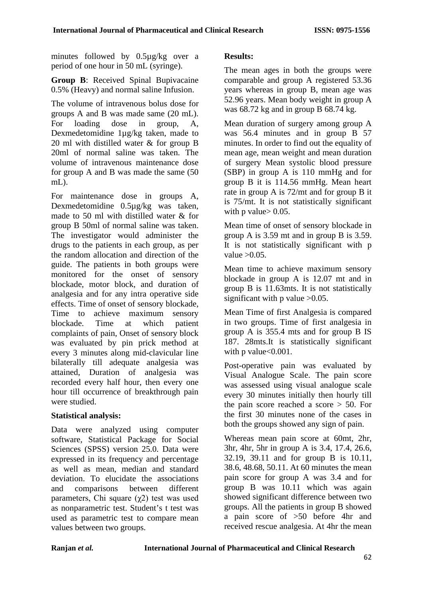minutes followed by 0.5µg/kg over a period of one hour in 50 mL (syringe).

**Group B**: Received Spinal Bupivacaine 0.5% (Heavy) and normal saline Infusion.

The volume of intravenous bolus dose for groups A and B was made same (20 mL). For loading dose in group, A, Dexmedetomidine 1µg/kg taken, made to 20 ml with distilled water & for group B 20ml of normal saline was taken. The volume of intravenous maintenance dose for group A and B was made the same (50 mL).

For maintenance dose in groups A, Dexmedetomidine 0.5µg/kg was taken, made to 50 ml with distilled water & for group B 50ml of normal saline was taken. The investigator would administer the drugs to the patients in each group, as per the random allocation and direction of the guide. The patients in both groups were monitored for the onset of sensory blockade, motor block, and duration of analgesia and for any intra operative side effects. Time of onset of sensory blockade, Time to achieve maximum sensory blockade. Time at which patient complaints of pain, Onset of sensory block was evaluated by pin prick method at every 3 minutes along mid-clavicular line bilaterally till adequate analgesia was attained, Duration of analgesia was recorded every half hour, then every one hour till occurrence of breakthrough pain were studied.

#### **Statistical analysis:**

Data were analyzed using computer software, Statistical Package for Social Sciences (SPSS) version 25.0. Data were expressed in its frequency and percentage as well as mean, median and standard deviation. To elucidate the associations and comparisons between different parameters, Chi square  $(\gamma 2)$  test was used as nonparametric test. Student's t test was used as parametric test to compare mean values between two groups.

## **Results:**

The mean ages in both the groups were comparable and group A registered 53.36 years whereas in group B, mean age was 52.96 years. Mean body weight in group A was 68.72 kg and in group B 68.74 kg.

Mean duration of surgery among group A was 56.4 minutes and in group B 57 minutes. In order to find out the equality of mean age, mean weight and mean duration of surgery Mean systolic blood pressure (SBP) in group A is 110 mmHg and for group B it is 114.56 mmHg. Mean heart rate in group A is 72/mt and for group B it is 75/mt. It is not statistically significant with p value  $> 0.05$ .

Mean time of onset of sensory blockade in group A is 3.59 mt and in group B is 3.59. It is not statistically significant with p value  $>0.05$ .

Mean time to achieve maximum sensory blockade in group A is 12.07 mt and in group B is 11.63mts. It is not statistically significant with p value  $>0.05$ .

Mean Time of first Analgesia is compared in two groups. Time of first analgesia in group A is 355.4 mts and for group B IS 187. 28mts.It is statistically significant with p value<0.001.

Post-operative pain was evaluated by Visual Analogue Scale. The pain score was assessed using visual analogue scale every 30 minutes initially then hourly till the pain score reached a score  $> 50$ . For the first 30 minutes none of the cases in both the groups showed any sign of pain.

Whereas mean pain score at 60mt, 2hr, 3hr, 4hr, 5hr in group A is 3.4, 17.4, 26.6, 32.19, 39.11 and for group B is 10.11, 38.6, 48.68, 50.11. At 60 minutes the mean pain score for group A was 3.4 and for group B was 10.11 which was again showed significant difference between two groups. All the patients in group B showed a pain score of >50 before 4hr and received rescue analgesia. At 4hr the mean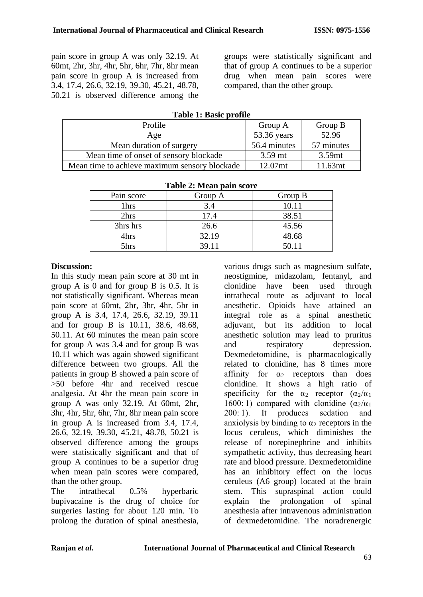pain score in group A was only 32.19. At 60mt, 2hr, 3hr, 4hr, 5hr, 6hr, 7hr, 8hr mean pain score in group A is increased from 3.4, 17.4, 26.6, 32.19, 39.30, 45.21, 48.78, 50.21 is observed difference among the groups were statistically significant and that of group A continues to be a superior drug when mean pain scores were compared, than the other group.

| Profile                                       | Group A      | Group B    |  |
|-----------------------------------------------|--------------|------------|--|
| Age                                           | 53.36 years  | 52.96      |  |
| Mean duration of surgery                      | 56.4 minutes | 57 minutes |  |
| Mean time of onset of sensory blockade        | $3.59$ mt    | 3.59mt     |  |
| Mean time to achieve maximum sensory blockade | 12.07mt      | 11.63mt    |  |

| <b>Table 2: Mean pain score</b> |         |         |  |
|---------------------------------|---------|---------|--|
| Pain score                      | Group A | Group B |  |
| 1hrs                            | 3.4     | 10.11   |  |
| 2hrs                            | 17.4    | 38.51   |  |
| 3hrs hrs                        | 26.6    | 45.56   |  |
| 4hrs                            | 32.19   | 48.68   |  |
| 5hrs                            | 39.11   | 50.11   |  |

## **Table 2: Mean pain score**

#### **Discussion:**

In this study mean pain score at 30 mt in group A is 0 and for group B is 0.5. It is not statistically significant. Whereas mean pain score at 60mt, 2hr, 3hr, 4hr, 5hr in group A is 3.4, 17.4, 26.6, 32.19, 39.11 and for group B is 10.11, 38.6, 48.68, 50.11. At 60 minutes the mean pain score for group A was 3.4 and for group B was 10.11 which was again showed significant difference between two groups. All the patients in group B showed a pain score of >50 before 4hr and received rescue analgesia. At 4hr the mean pain score in group A was only 32.19. At 60mt, 2hr, 3hr, 4hr, 5hr, 6hr, 7hr, 8hr mean pain score in group A is increased from 3.4, 17.4, 26.6, 32.19, 39.30, 45.21, 48.78, 50.21 is observed difference among the groups were statistically significant and that of group A continues to be a superior drug when mean pain scores were compared, than the other group.

The intrathecal 0.5% hyperbaric bupivacaine is the drug of choice for surgeries lasting for about 120 min. To prolong the duration of spinal anesthesia,

various drugs such as magnesium sulfate, neostigmine, midazolam, fentanyl, and clonidine have been used through intrathecal route as adjuvant to local anesthetic. Opioids have attained an integral role as a spinal anesthetic adjuvant, but its addition to local anesthetic solution may lead to pruritus and respiratory depression. Dexmedetomidine, is pharmacologically related to clonidine, has 8 times more affinity for  $\alpha_2$  receptors than does clonidine. It shows a high ratio of specificity for the  $\alpha_2$  receptor  $(\alpha_2/\alpha_1)$ 1600:1) compared with clonidine  $(\alpha_2/\alpha_1)$ 200: 1). It produces sedation and anxiolysis by binding to  $\alpha_2$  receptors in the locus ceruleus, which diminishes the release of norepinephrine and inhibits sympathetic activity, thus decreasing heart rate and blood pressure. Dexmedetomidine has an inhibitory effect on the locus ceruleus (A6 group) located at the brain stem. This supraspinal action could<br>explain the prolongation of spinal prolongation of spinal anesthesia after intravenous administration of dexmedetomidine. The noradrenergic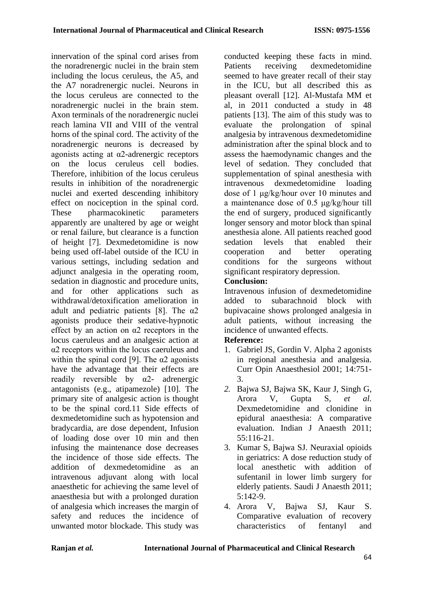innervation of the spinal cord arises from the noradrenergic nuclei in the brain stem including the locus ceruleus, the A5, and the A7 noradrenergic nuclei. Neurons in the locus ceruleus are connected to the noradrenergic nuclei in the brain stem. Axon terminals of the noradrenergic nuclei reach lamina VII and VIII of the ventral horns of the spinal cord. The activity of the noradrenergic neurons is decreased by agonists acting at  $\alpha$ 2-adrenergic receptors on the locus ceruleus cell bodies. Therefore, inhibition of the locus ceruleus results in inhibition of the noradrenergic nuclei and exerted descending inhibitory effect on nociception in the spinal cord. These pharmacokinetic parameters apparently are unaltered by age or weight or renal failure, but clearance is a function of height [7]. Dexmedetomidine is now being used off-label outside of the ICU in various settings, including sedation and adjunct analgesia in the operating room, sedation in diagnostic and procedure units, and for other applications such as withdrawal/detoxification amelioration in adult and pediatric patients [8]. The α2 agonists produce their sedative-hypnotic effect by an action on α2 receptors in the locus caeruleus and an analgesic action at α2 receptors within the locus caeruleus and within the spinal cord [9]. The  $\alpha$ 2 agonists have the advantage that their effects are readily reversible by  $\alpha$ 2- adrenergic antagonists (e.g., atipamezole) [10]. The primary site of analgesic action is thought to be the spinal cord.11 Side effects of dexmedetomidine such as hypotension and bradycardia, are dose dependent, Infusion of loading dose over 10 min and then infusing the maintenance dose decreases the incidence of those side effects. The addition of dexmedetomidine as an intravenous adjuvant along with local anaesthetic for achieving the same level of anaesthesia but with a prolonged duration of analgesia which increases the margin of safety and reduces the incidence of unwanted motor blockade. This study was conducted keeping these facts in mind. Patients receiving dexmedetomidine seemed to have greater recall of their stay in the ICU, but all described this as pleasant overall [12]. Al-Mustafa MM et al, in 2011 conducted a study in 48 patients [13]. The aim of this study was to evaluate the prolongation of spinal analgesia by intravenous dexmedetomidine administration after the spinal block and to assess the haemodynamic changes and the level of sedation. They concluded that supplementation of spinal anesthesia with intravenous dexmedetomidine loading dose of 1 μg/kg/hour over 10 minutes and a maintenance dose of 0.5 μg/kg/hour till the end of surgery, produced significantly longer sensory and motor block than spinal anesthesia alone. All patients reached good sedation levels that enabled their cooperation and better operating conditions for the surgeons without significant respiratory depression.

#### **Conclusion:**

Intravenous infusion of dexmedetomidine added to subarachnoid block with bupivacaine shows prolonged analgesia in adult patients, without increasing the incidence of unwanted effects.

#### **Reference:**

- 1. Gabriel JS, Gordin V. Alpha 2 agonists in regional anesthesia and analgesia. Curr Opin Anaesthesiol 2001; 14:751- 3.
- *2.* Bajwa SJ, Bajwa SK, Kaur J, Singh G, Arora V, Gupta S, *et al.*  Dexmedetomidine and clonidine in epidural anaesthesia: A comparative evaluation. Indian J Anaesth 2011; 55:116-21.
- 3. Kumar S, Bajwa SJ. Neuraxial opioids in geriatrics: A dose reduction study of local anesthetic with addition of sufentanil in lower limb surgery for elderly patients. Saudi J Anaesth 2011; 5:142-9.
- 4. Arora V, Bajwa SJ, Kaur S. Comparative evaluation of recovery characteristics of fentanyl and